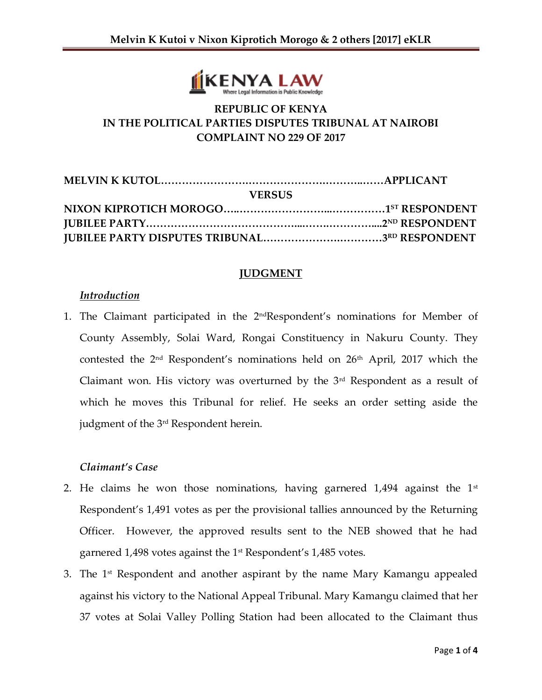

# **REPUBLIC OF KENYA IN THE POLITICAL PARTIES DISPUTES TRIBUNAL AT NAIROBI COMPLAINT NO 229 OF 2017**

| <b>VERSUS</b> |  |
|---------------|--|
|               |  |
|               |  |
|               |  |

### **JUDGMENT**

### *Introduction*

1. The Claimant participated in the 2<sup>nd</sup>Respondent's nominations for Member of County Assembly, Solai Ward, Rongai Constituency in Nakuru County. They contested the 2<sup>nd</sup> Respondent's nominations held on 26<sup>th</sup> April, 2017 which the Claimant won. His victory was overturned by the  $3<sup>rd</sup>$  Respondent as a result of which he moves this Tribunal for relief. He seeks an order setting aside the judgment of the 3rd Respondent herein.

## *Claimant's Case*

- 2. He claims he won those nominations, having garnered  $1,494$  against the  $1<sup>st</sup>$ Respondent's 1,491 votes as per the provisional tallies announced by the Returning Officer. However, the approved results sent to the NEB showed that he had garnered 1,498 votes against the 1<sup>st</sup> Respondent's 1,485 votes.
- 3. The  $1<sup>st</sup>$  Respondent and another aspirant by the name Mary Kamangu appealed against his victory to the National Appeal Tribunal. Mary Kamangu claimed that her 37 votes at Solai Valley Polling Station had been allocated to the Claimant thus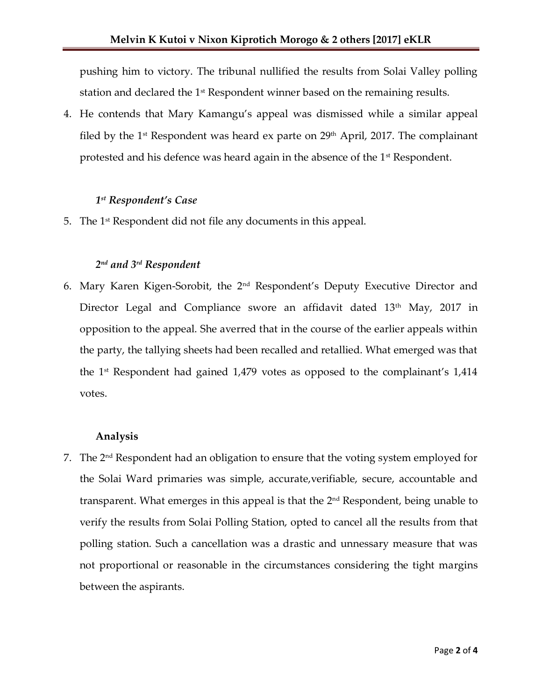pushing him to victory. The tribunal nullified the results from Solai Valley polling station and declared the  $1<sup>st</sup>$  Respondent winner based on the remaining results.

4. He contends that Mary Kamangu's appeal was dismissed while a similar appeal filed by the 1<sup>st</sup> Respondent was heard ex parte on  $29<sup>th</sup>$  April, 2017. The complainant protested and his defence was heard again in the absence of the 1<sup>st</sup> Respondent.

# *1 st Respondent's Case*

5. The  $1<sup>st</sup>$  Respondent did not file any documents in this appeal.

## *2 nd and 3rd Respondent*

6. Mary Karen Kigen-Sorobit, the 2nd Respondent's Deputy Executive Director and Director Legal and Compliance swore an affidavit dated 13<sup>th</sup> May, 2017 in opposition to the appeal. She averred that in the course of the earlier appeals within the party, the tallying sheets had been recalled and retallied. What emerged was that the  $1<sup>st</sup>$  Respondent had gained 1,479 votes as opposed to the complainant's 1,414 votes.

#### **Analysis**

7. The  $2<sup>nd</sup>$  Respondent had an obligation to ensure that the voting system employed for the Solai Ward primaries was simple, accurate,verifiable, secure, accountable and transparent. What emerges in this appeal is that the 2nd Respondent, being unable to verify the results from Solai Polling Station, opted to cancel all the results from that polling station. Such a cancellation was a drastic and unnessary measure that was not proportional or reasonable in the circumstances considering the tight margins between the aspirants.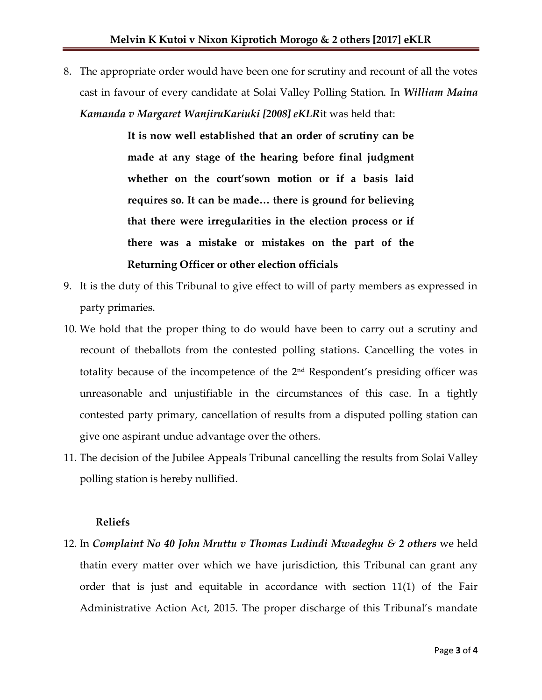8. The appropriate order would have been one for scrutiny and recount of all the votes cast in favour of every candidate at Solai Valley Polling Station. In *William Maina Kamanda v Margaret WanjiruKariuki [2008] eKLR*it was held that:

> **It is now well established that an order of scrutiny can be made at any stage of the hearing before final judgment whether on the court'sown motion or if a basis laid requires so. It can be made… there is ground for believing that there were irregularities in the election process or if there was a mistake or mistakes on the part of the Returning Officer or other election officials**

- 9. It is the duty of this Tribunal to give effect to will of party members as expressed in party primaries.
- 10. We hold that the proper thing to do would have been to carry out a scrutiny and recount of theballots from the contested polling stations. Cancelling the votes in totality because of the incompetence of the 2nd Respondent's presiding officer was unreasonable and unjustifiable in the circumstances of this case. In a tightly contested party primary, cancellation of results from a disputed polling station can give one aspirant undue advantage over the others.
- 11. The decision of the Jubilee Appeals Tribunal cancelling the results from Solai Valley polling station is hereby nullified.

#### **Reliefs**

12. In *Complaint No 40 John Mruttu v Thomas Ludindi Mwadeghu & 2 others* we held thatin every matter over which we have jurisdiction, this Tribunal can grant any order that is just and equitable in accordance with section 11(1) of the Fair Administrative Action Act, 2015. The proper discharge of this Tribunal's mandate